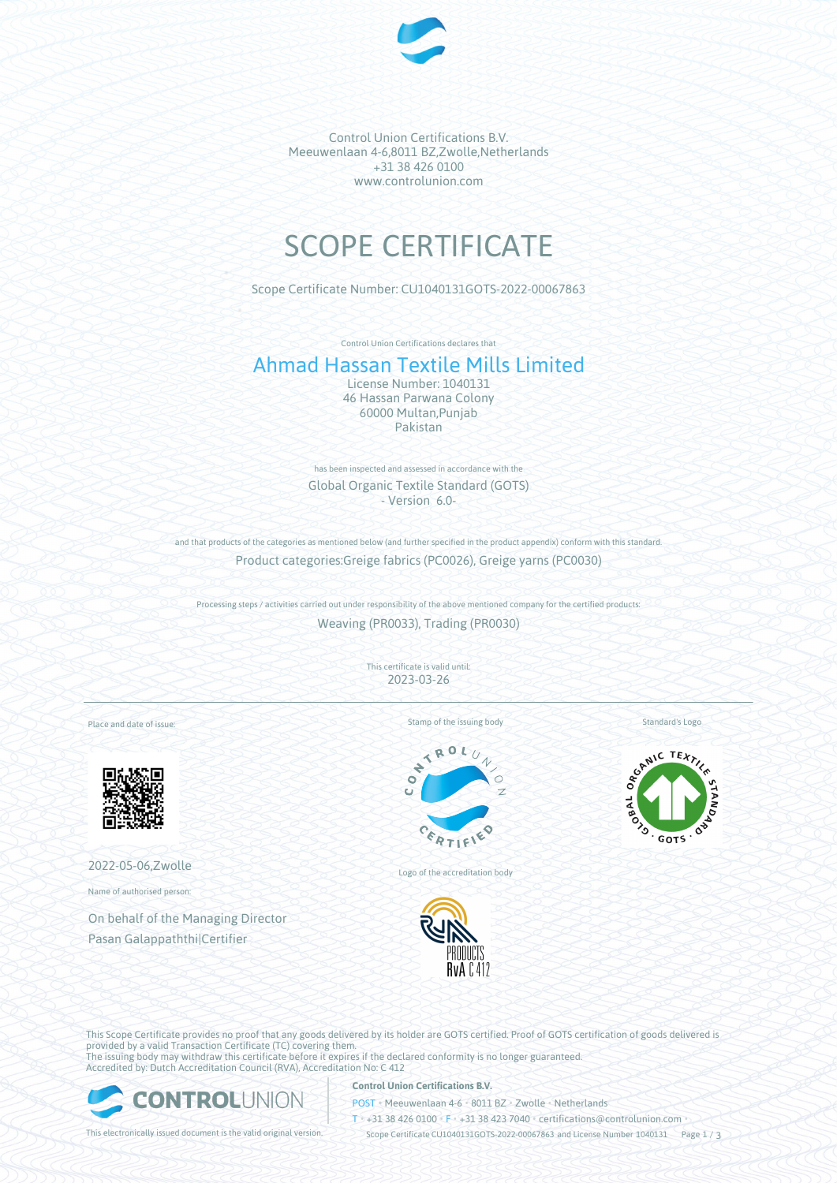

Control Union Certifications B.V. Meeuwenlaan 4-6,8011 BZ,Zwolle,Netherlands +31 38 426 0100 www.controlunion.com

# SCOPE CERTIFICATE

Scope Certificate Number: CU1040131GOTS-2022-00067863

Control Union Certifications declares that

# Ahmad Hassan Textile Mills Limited

License Number: 1040131 46 Hassan Parwana Colony 60000 Multan,Punjab Pakistan

has been inspected and assessed in accordance with the Global Organic Textile Standard (GOTS) - Version 6.0-

and that products of the categories as mentioned below (and further specified in the product appendix) conform with this standard. Product categories:Greige fabrics (PC0026), Greige yarns (PC0030)

Processing steps / activities carried out under responsibility of the above mentioned company for the certified products: Weaving (PR0033), Trading (PR0030)

> This certificate is valid until: 2023-03-26

Place and date of issue:



2022-05-06,Zwolle

Name of authorised person:

On behalf of the Managing Director Pasan Galappaththi|Certifier

Stamp of the issuing body



Logo of the accreditation body



Standard's Logo



This Scope Certificate provides no proof that any goods delivered by its holder are GOTS certified. Proof of GOTS certification of goods delivered is provided by a valid Transaction Certificate (TC) covering them. The issuing body may withdraw this certificate before it expires if the declared conformity is no longer guaranteed. Accredited by: Dutch Accreditation Council (RVA), Accreditation No: C 412



# **Control Union Certifications B.V.**

POST • Meeuwenlaan 4-6 • 8011 BZ • Zwolle • Netherlands

T • +31 38 426 0100 • F • +31 38 423 7040 • certifications@controlunion.com •

This electronically issued document is the valid original version. Scope Certificate CU1040131GOTS-2022-00067863 and License Number 1040131 Page 1 / 3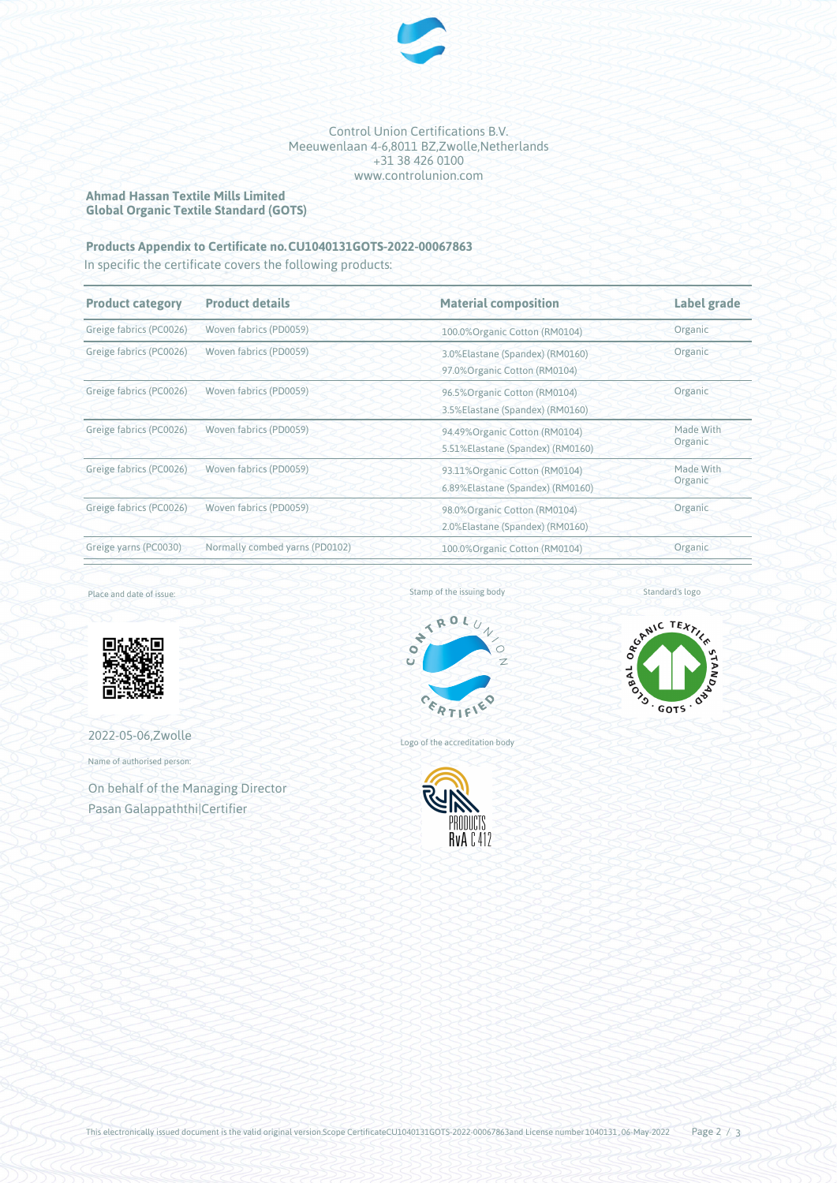

### Control Union Certifications B.V. Meeuwenlaan 4-6,8011 BZ,Zwolle,Netherlands +31 38 426 0100 www.controlunion.com

# **Ahmad Hassan Textile Mills Limited Global Organic Textile Standard (GOTS)**

# **Products Appendix to Certificate no.CU1040131GOTS-2022-00067863**

In specific the certificate covers the following products:

| <b>Product category</b> | <b>Product details</b>         | <b>Material composition</b>                                       | <b>Label grade</b>   |
|-------------------------|--------------------------------|-------------------------------------------------------------------|----------------------|
| Greige fabrics (PC0026) | Woven fabrics (PD0059)         | 100.0% Organic Cotton (RM0104)                                    | Organic              |
| Greige fabrics (PC0026) | Woven fabrics (PD0059)         | 3.0%Elastane (Spandex) (RM0160)<br>97.0% Organic Cotton (RM0104)  | Organic              |
| Greige fabrics (PC0026) | Woven fabrics (PD0059)         | 96.5% Organic Cotton (RM0104)<br>3.5% Elastane (Spandex) (RM0160) | Organic              |
| Greige fabrics (PC0026) | Woven fabrics (PD0059)         | 94.49%Organic Cotton (RM0104)<br>5.51%Elastane (Spandex) (RM0160) | Made With<br>Organic |
| Greige fabrics (PC0026) | Woven fabrics (PD0059)         | 93.11%Organic Cotton (RM0104)<br>6.89%Elastane (Spandex) (RM0160) | Made With<br>Organic |
| Greige fabrics (PC0026) | Woven fabrics (PD0059)         | 98.0% Organic Cotton (RM0104)<br>2.0% Elastane (Spandex) (RM0160) | Organic              |
| Greige yarns (PC0030)   | Normally combed yarns (PD0102) | 100.0%Organic Cotton (RM0104)                                     | Organic              |

Place and date of issue:



2022-05-06,Zwolle

Name of authorised person:

On behalf of the Managing Director Pasan Galappaththi|Certifier



Logo of the accreditation body



Standard's logo